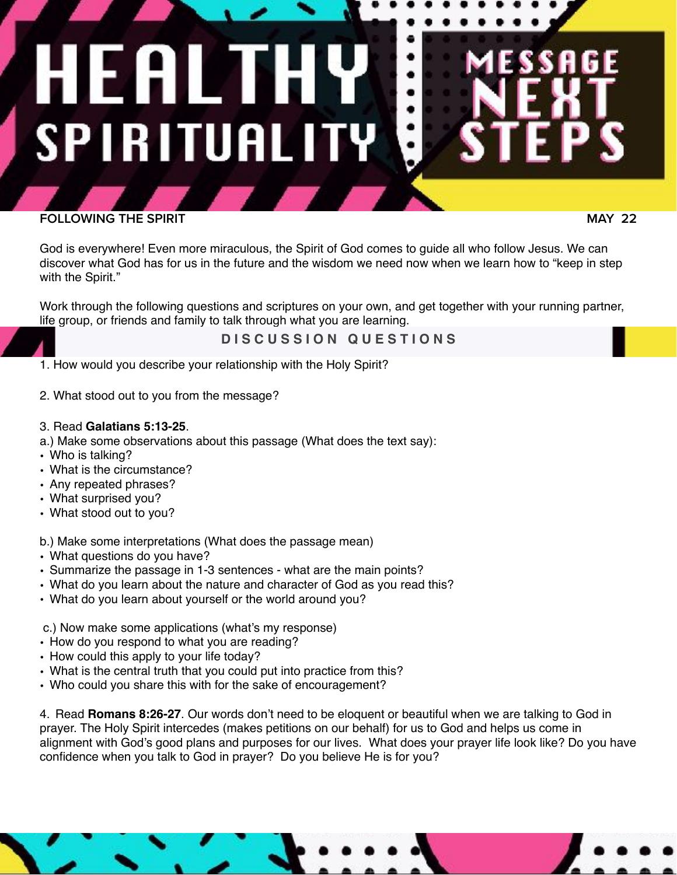## EALT **SPIRITUALITY**

## **FOLLOWING THE SPIRIT**

 **MAY 22**

God is everywhere! Even more miraculous, the Spirit of God comes to guide all who follow Jesus. We can discover what God has for us in the future and the wisdom we need now when we learn how to "keep in step with the Spirit."

Work through the following questions and scriptures on your own, and get together with your running partner, life group, or friends and family to talk through what you are learning.

**D I S C U S S I O N Q U E S T I O N S** 

1. How would you describe your relationship with the Holy Spirit?

- 2. What stood out to you from the message?
- 3. Read **Galatians 5:13-25**.
- a.) Make some observations about this passage (What does the text say):
- Who is talking?
- What is the circumstance?
- Any repeated phrases?
- What surprised you?
- What stood out to you?

b.) Make some interpretations (What does the passage mean)

- What questions do you have?
- Summarize the passage in 1-3 sentences what are the main points?
- What do you learn about the nature and character of God as you read this?
- What do you learn about yourself or the world around you?

c.) Now make some applications (what's my response)

- How do you respond to what you are reading?
- How could this apply to your life today?
- What is the central truth that you could put into practice from this?
- Who could you share this with for the sake of encouragement?

4. Read **Romans 8:26-27**. Our words don't need to be eloquent or beautiful when we are talking to God in prayer. The Holy Spirit intercedes (makes petitions on our behalf) for us to God and helps us come in alignment with God's good plans and purposes for our lives. What does your prayer life look like? Do you have confidence when you talk to God in prayer? Do you believe He is for you?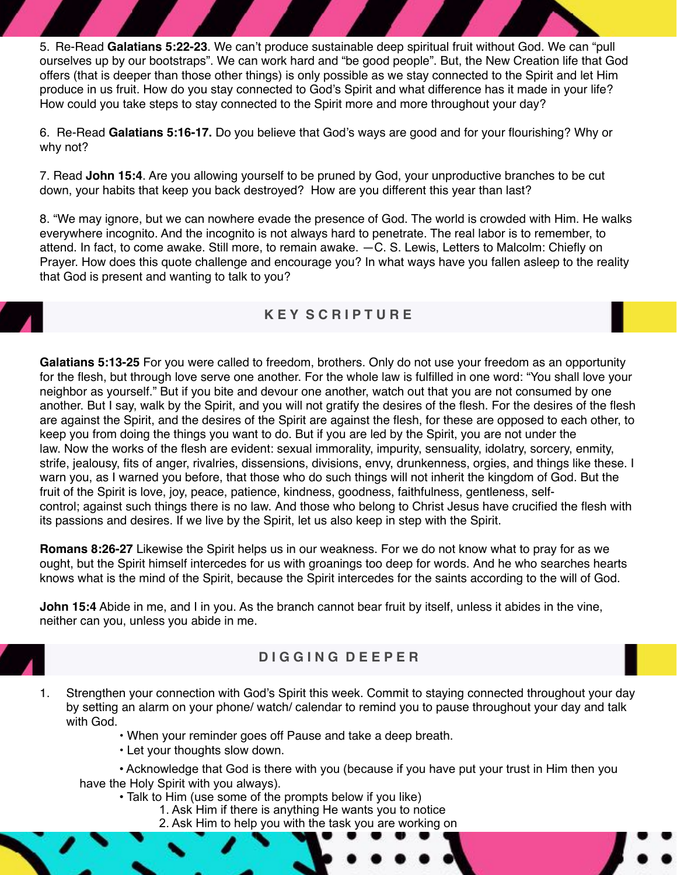5. Re-Read **Galatians 5:22-23**. We can't produce sustainable deep spiritual fruit without God. We can "pull ourselves up by our bootstraps". We can work hard and "be good people". But, the New Creation life that God offers (that is deeper than those other things) is only possible as we stay connected to the Spirit and let Him produce in us fruit. How do you stay connected to God's Spirit and what difference has it made in your life? How could you take steps to stay connected to the Spirit more and more throughout your day?

6. Re-Read **Galatians 5:16-17.** Do you believe that God's ways are good and for your flourishing? Why or why not?

7. Read **John 15:4**. Are you allowing yourself to be pruned by God, your unproductive branches to be cut down, your habits that keep you back destroyed? How are you different this year than last?

8. "We may ignore, but we can nowhere evade the presence of God. The world is crowded with Him. He walks everywhere incognito. And the incognito is not always hard to penetrate. The real labor is to remember, to attend. In fact, to come awake. Still more, to remain awake. —C. S. Lewis, Letters to Malcolm: Chiefly on Prayer. How does this quote challenge and encourage you? In what ways have you fallen asleep to the reality that God is present and wanting to talk to you?

## **K E Y S C R I P T U R E**

**Galatians 5:13-25** For you were called to freedom, brothers. Only do not use your freedom as an opportunity for the flesh, but through love serve one another. For the whole law is fulfilled in one word: "You shall love your neighbor as yourself." But if you bite and devour one another, watch out that you are not consumed by one another. But I say, walk by the Spirit, and you will not gratify the desires of the flesh. For the desires of the flesh are against the Spirit, and the desires of the Spirit are against the flesh, for these are opposed to each other, to keep you from doing the things you want to do. But if you are led by the Spirit, you are not under the law. Now the works of the flesh are evident: sexual immorality, impurity, sensuality, idolatry, sorcery, enmity, strife, jealousy, fits of anger, rivalries, dissensions, divisions, envy, drunkenness, orgies, and things like these. I warn you, as I warned you before, that those who do such things will not inherit the kingdom of God. But the fruit of the Spirit is love, joy, peace, patience, kindness, goodness, faithfulness, gentleness, selfcontrol; against such things there is no law. And those who belong to Christ Jesus have crucified the flesh with its passions and desires. If we live by the Spirit, let us also keep in step with the Spirit.

**Romans 8:26-27** Likewise the Spirit helps us in our weakness. For we do not know what to pray for as we ought, but the Spirit himself intercedes for us with groanings too deep for words. And he who searches hearts knows what is the mind of the Spirit, because the Spirit intercedes for the saints according to the will of God.

**John 15:4** Abide in me, and I in you. As the branch cannot bear fruit by itself, unless it abides in the vine, neither can you, unless you abide in me.

## **D I G G I N G D E E P E R**

- 1. Strengthen your connection with God's Spirit this week. Commit to staying connected throughout your day by setting an alarm on your phone/ watch/ calendar to remind you to pause throughout your day and talk with God.
	- When your reminder goes off Pause and take a deep breath.
	- Let your thoughts slow down.
	- Acknowledge that God is there with you (because if you have put your trust in Him then you have the Holy Spirit with you always).
		- Talk to Him (use some of the prompts below if you like)
			- 1. Ask Him if there is anything He wants you to notice
				- 2. Ask Him to help you with the task you are working on